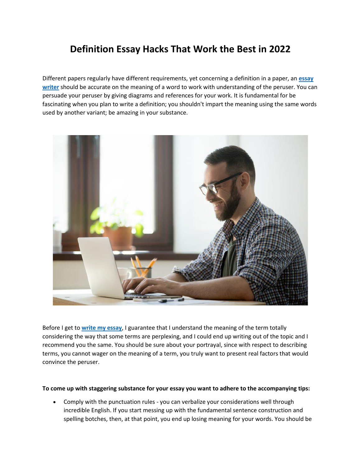# **Definition Essay Hacks That Work the Best in 2022**

Different papers regularly have different requirements, yet concerning a definition in a paper, an **[essay](https://www.essaywriter.college/)  [writer](https://www.essaywriter.college/)** should be accurate on the meaning of a word to work with understanding of the peruser. You can persuade your peruser by giving diagrams and references for your work. It is fundamental for be fascinating when you plan to write a definition; you shouldn't impart the meaning using the same words used by another variant; be amazing in your substance.



Before I get to **[write my essay](https://writemyessayfast.net/)**, I guarantee that I understand the meaning of the term totally considering the way that some terms are perplexing, and I could end up writing out of the topic and I recommend you the same. You should be sure about your portrayal, since with respect to describing terms, you cannot wager on the meaning of a term, you truly want to present real factors that would convince the peruser.

#### **To come up with staggering substance for your essay you want to adhere to the accompanying tips:**

• Comply with the punctuation rules - you can verbalize your considerations well through incredible English. If you start messing up with the fundamental sentence construction and spelling botches, then, at that point, you end up losing meaning for your words. You should be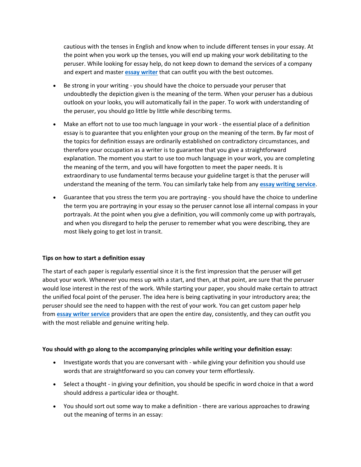cautious with the tenses in English and know when to include different tenses in your essay. At the point when you work up the tenses, you will end up making your work debilitating to the peruser. While looking for essay help, do not keep down to demand the services of a company and expert and master **[essay writer](https://essaywriternow.com/)** that can outfit you with the best outcomes.

- Be strong in your writing you should have the choice to persuade your peruser that undoubtedly the depiction given is the meaning of the term. When your peruser has a dubious outlook on your looks, you will automatically fail in the paper. To work with understanding of the peruser, you should go little by little while describing terms.
- Make an effort not to use too much language in your work the essential place of a definition essay is to guarantee that you enlighten your group on the meaning of the term. By far most of the topics for definition essays are ordinarily established on contradictory circumstances, and therefore your occupation as a writer is to guarantee that you give a straightforward explanation. The moment you start to use too much language in your work, you are completing the meaning of the term, and you will have forgotten to meet the paper needs. It is extraordinary to use fundamental terms because your guideline target is that the peruser will understand the meaning of the term. You can similarly take help from any **[essay writing service](https://www.essaywritingservice.college/)**.
- Guarantee that you stress the term you are portraying you should have the choice to underline the term you are portraying in your essay so the peruser cannot lose all internal compass in your portrayals. At the point when you give a definition, you will commonly come up with portrayals, and when you disregard to help the peruser to remember what you were describing, they are most likely going to get lost in transit.

## **Tips on how to start a definition essay**

The start of each paper is regularly essential since it is the first impression that the peruser will get about your work. Whenever you mess up with a start, and then, at that point, are sure that the peruser would lose interest in the rest of the work. While starting your paper, you should make certain to attract the unified focal point of the peruser. The idea here is being captivating in your introductory area; the peruser should see the need to happen with the rest of your work. You can get custom paper help from **[essay writer service](https://essaywriternow.com/)** providers that are open the entire day, consistently, and they can outfit you with the most reliable and genuine writing help.

### **You should with go along to the accompanying principles while writing your definition essay:**

- Investigate words that you are conversant with while giving your definition you should use words that are straightforward so you can convey your term effortlessly.
- Select a thought in giving your definition, you should be specific in word choice in that a word should address a particular idea or thought.
- You should sort out some way to make a definition there are various approaches to drawing out the meaning of terms in an essay: